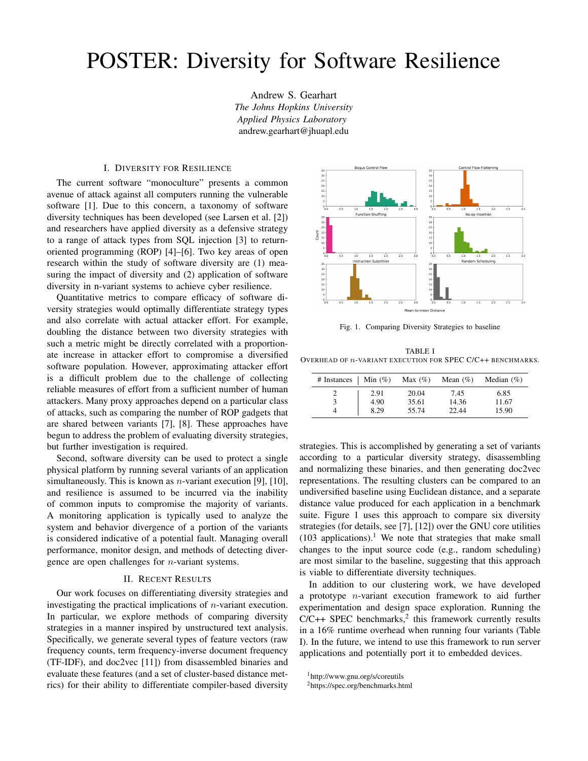## POSTER: Diversity for Software Resilience

Andrew S. Gearhart *The Johns Hopkins University Applied Physics Laboratory* andrew.gearhart@jhuapl.edu

## I. DIVERSITY FOR RESILIENCE

The current software "monoculture" presents a common avenue of attack against all computers running the vulnerable software [1]. Due to this concern, a taxonomy of software diversity techniques has been developed (see Larsen et al. [2]) and researchers have applied diversity as a defensive strategy to a range of attack types from SQL injection [3] to returnoriented programming (ROP) [4]–[6]. Two key areas of open research within the study of software diversity are (1) measuring the impact of diversity and (2) application of software diversity in n-variant systems to achieve cyber resilience.

Quantitative metrics to compare efficacy of software diversity strategies would optimally differentiate strategy types and also correlate with actual attacker effort. For example, doubling the distance between two diversity strategies with such a metric might be directly correlated with a proportionate increase in attacker effort to compromise a diversified software population. However, approximating attacker effort is a difficult problem due to the challenge of collecting reliable measures of effort from a sufficient number of human attackers. Many proxy approaches depend on a particular class of attacks, such as comparing the number of ROP gadgets that are shared between variants [7], [8]. These approaches have begun to address the problem of evaluating diversity strategies, but further investigation is required.

Second, software diversity can be used to protect a single physical platform by running several variants of an application simultaneously. This is known as *n*-variant execution [9], [10], and resilience is assumed to be incurred via the inability of common inputs to compromise the majority of variants. A monitoring application is typically used to analyze the system and behavior divergence of a portion of the variants is considered indicative of a potential fault. Managing overall performance, monitor design, and methods of detecting divergence are open challenges for n-variant systems.

## II. RECENT RESULTS

Our work focuses on differentiating diversity strategies and investigating the practical implications of n-variant execution. In particular, we explore methods of comparing diversity strategies in a manner inspired by unstructured text analysis. Specifically, we generate several types of feature vectors (raw frequency counts, term frequency-inverse document frequency (TF-IDF), and doc2vec [11]) from disassembled binaries and evaluate these features (and a set of cluster-based distance metrics) for their ability to differentiate compiler-based diversity



Fig. 1. Comparing Diversity Strategies to baseline

TABLE I OVERHEAD OF n-VARIANT EXECUTION FOR SPEC C/C++ BENCHMARKS.

| # Instances   Min $(\%)$ Max $(\%)$ |      |       | Mean $(\% )$ | Median $(\% )$ |
|-------------------------------------|------|-------|--------------|----------------|
|                                     | 2.91 | 20.04 | 7.45         | 6.85           |
|                                     | 4.90 | 35.61 | 14.36        | 11.67          |
|                                     | 8.29 | 55.74 | 22.44        | 15.90          |

strategies. This is accomplished by generating a set of variants according to a particular diversity strategy, disassembling and normalizing these binaries, and then generating doc2vec representations. The resulting clusters can be compared to an undiversified baseline using Euclidean distance, and a separate distance value produced for each application in a benchmark suite. Figure 1 uses this approach to compare six diversity strategies (for details, see [7], [12]) over the GNU core utilities  $(103$  applications).<sup>1</sup> We note that strategies that make small changes to the input source code (e.g., random scheduling) are most similar to the baseline, suggesting that this approach is viable to differentiate diversity techniques.

In addition to our clustering work, we have developed a prototype n-variant execution framework to aid further experimentation and design space exploration. Running the  $C/C++$  SPEC benchmarks,<sup>2</sup> this framework currently results in a 16% runtime overhead when running four variants (Table I). In the future, we intend to use this framework to run server applications and potentially port it to embedded devices.

<sup>1</sup>http://www.gnu.org/s/coreutils

<sup>2</sup>https://spec.org/benchmarks.html